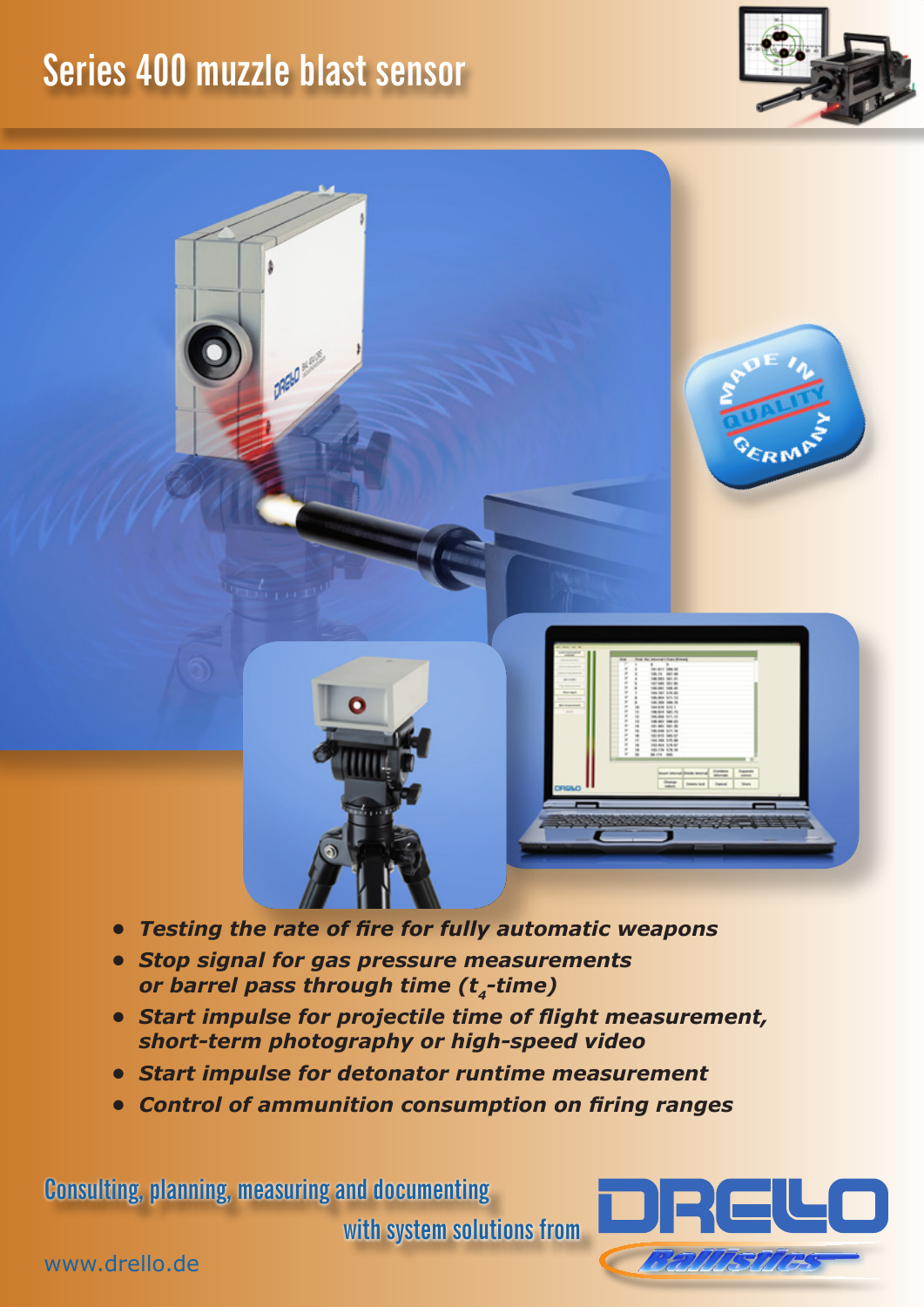## **Series 400 muzzle blast sensor**

**DREW HORE** 



ERM





- *• Testing the rate of fire for fully automatic weapons*
- *• Stop signal for gas pressure measurements or barrel pass through time (t4-time)*
- *• Start impulse for projectile time of flight measurement, short-term photography or high-speed video*
- *• Start impulse for detonator runtime measurement*
- *• Control of ammunition consumption on firing ranges*

**Consulting, planning, measuring and documenting** 

**with system solutions from**



www.drello.de